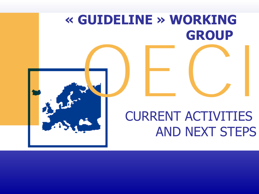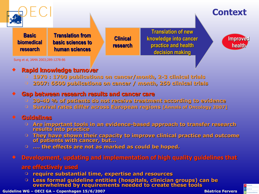

Sung et al, JAMA 2003;289:1278-86

#### **Rapid knowledge turnover**

- **0 1970 : 1700 publications on cancer/month, 2-3 clinical trials**
- **<sup>2007: 6500 publications on cancer / month, 250 clinical trials**</sup>

#### **Gap between research results and cancer care**

- **30-40 % of patients do not receive treatment according to evidence**
- **Survival rates differ across European regions [Annals of Oncology 2007]**

#### **Guidelines**

- **<b>Are important tools in an evidence-based approach to transfer research results into practice**
- $\circ$  They have shown their capacity to improve clinical practice and outcome **of patients with cancer, but…**
- **…. the effects are not as marked as could be hoped.**

#### **Constructed and implementation of high quality guidelines that**  has **that**

#### **are effectively used**

- $\circ$  **require substantial time, expertise and resources**
- $\circ$  Less formal guideline entities (hospitals, clinician groups) can be **overwhelmed by requirements needed to create these tools**

**Guideline WG – OECI GA – Copenhagen 15/6/2007 Béatrice Fervers 2018 Béatrice Fervers** 

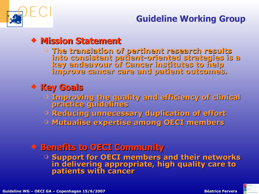

## **Guideline Working Group**

## **Mission Statement**

 **The translation of pertinent research results into consistent patient-oriented strategies is a key endeavour of Cancer institutes to help improve cancer care and patient outcomes.** 

## **Key Goals**

- **Improving the quality and efficiency of clinical practice guidelines**
- **P** Reducing unnecessary duplication of effort
- **Mutualise expertise among OECI members**

## **COMMUNITY + Benefits to OECI Community**

 **Support for OECI members and their networks in delivering appropriate, high quality care to patients with cancer**

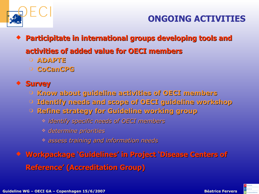

## **ONGOING ACTIVITIES**

- **Participitate in international groups developing tools and activities of added value for OECI members**
	- **ADAPTE**
	- **CoCanCPG**

## **Survey**

- **Know abo Know about guideline activities of OECI members**
- **Identify needs and scope of OECI guideline workshop**
- **Refine strategy for Guideline working group**
	- *identify specific needs of OECI members*
	- *determine priorities*
	- *assess trai ss training and information needs*
- **\* Workpackage 'Guidelines' in Project 'Disease Centers of Reference' (Accreditation Group)**

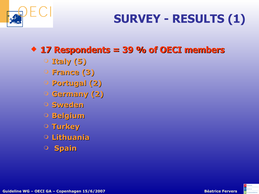

# **SURVEY - RESULTS (1)**

## **17 Respon 7 Respondents = 39 % of OECI members**

- **Italy (5)**
- **France (3)**
- **Portugal (2)**
- **Germany (2)**
- **Sweden**
- **Belgium**
- **Turkey**
- **Lithuania**
- **Spain**

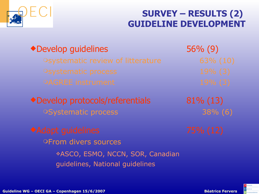

## **SURVEY – RESULTS (2) GUIDELINE DEVELOPMENT**

56% (9) Develop guidelines

Develop protocols/referentials **OSystematic process** 

**OFrom divers sources** ASCO, ESMO, NCCN, SOR, Canadian guidelines, National guidelines

81% (13) 38% (6)

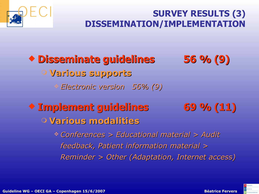

## **SURVEY RESULTS (3) DISSEMINATION/IMPLEMENTATION**

 **Disseminate guidelines 56 % (9) Various supports** *Electronic version 56% (9)* **Implement guidelines 69 % (11) O Various modalities**  *Conferences > Educational material > Audit feedback, Patient information material > Reminder > Other (Adaptation, Internet access)* 

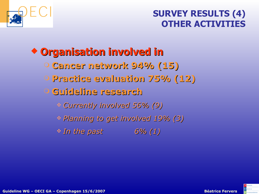

## **SURVEY RESULTS (4) OTHER ACTIVITIES**

# **Conganisation involved in**

- **Cancer network 94% (15)**
- **Practice evaluation 75% (12)**

## **Guideline research**

- *Currently rrently involved 56% (9)*
- *Planning to get involved 19% (3)*
- *In the past 6% (1)*

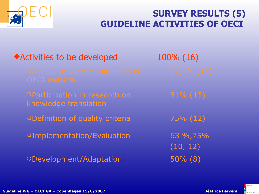

## **SURVEY RESULTS (5) GUIDELINE ACTIVITIES OF OECI**

| ◆ Activities to be developed                           | 100% (16)            |
|--------------------------------------------------------|----------------------|
| OAccess to cancer guidelines on<br><b>OECI</b> website | 87,5% (14)           |
| OParticipation in research on<br>knowledge translation | $81\%$ (13)          |
| ODefinition of quality criteria                        | 75% (12)             |
| <b>OImplementation/Evaluation</b>                      | 63 %,75%<br>(10, 12) |
| ODevelopment/Adaptation                                | $50\%$ (8)           |

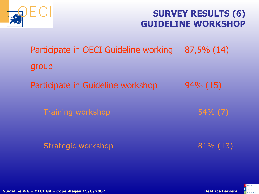

## **SURVEY RESULTS (6) GUIDELINE WORKSHOP**

Strategic workshop 81% (13) Training workshop 54% (7) Participate in Guideline workshop 94% (15) Participate in OECI Guideline working 87,5% (14) group

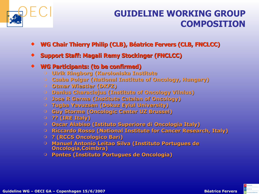

## **GUIDELINE WORKING GROUP COMPOSITION**

- **WG Chair Thierry Philip (CLB), Béatrice Fervers (CLB, FNCLCC)**
- **Support Staff: Magali Remy Stockinger (FNCLCC)**
- **WG Participants: (to be confirmed)** 
	- **<sup>O</sup>** Ulrik Ringborg (Karoloniska Institute
	- **Csaba Polgar (National Institute of Oncology, Hungary)**
	- **Otmar Wiestler (DKFZ)**
	- **Danius Characiejus (Institute of Oncology Vilnius)**
	- **C** Jose R Germa (Institute Catalan of Oncology)
	- **D Tugba Yavuzsen (Dokuz Eylul University)**
	- **Guy Storme (Oncologic Center UZ Brussel)**
	- **?? (IRE Italy)**
	- **Oscar Alabiso (Istituto Superiore di eriore di Oncologia I ologia Italy)**
	- **Riccardo Rosso (National Institute for Cancer Research, Italy)**
	- **? (RCCS Oncologico Bari)**
	- **Manuel Antonio Leitao Silva (I ilva (Instituto Port to Portugues de Oncologia, ologia,Coimbra)**
	- **Pontes (Instituto Portugues de Oncologia)**

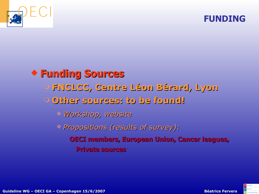

## **FUNDING**



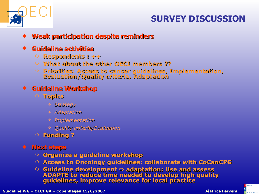

## **SURVEY DISCUSSION**

#### **Weak part ak participation despite reminders**

#### **Guideline activities**

- **Respondents : ++**
- **What about the other OECI members ??**
- **Priorities: Access to cancer guidelines, Implementati ementation, Evaluation/Quality criteria, Adaptation**

### **Guideline Workshop**

- **Topics**
	- *Strategy*
	- *Adaptation*
	- *Implementation*
	- *Quality cri ity criteria/Evaluation*
- **Funding ?**

#### **Next steps**

- **Organize a guideline workshop**
- **Access to Oncology guidelines: collaborate with CoCanCPG**
- Guideline development ⇒ adaptation: Use and assess **ADAPTE to reduce time needed to develop high quality guidelines, improve relevance for local practice**

**Guideline WG – OECI GA – Copenhagen 15/6/2007 Béatrice Fervers 13/6/2007 Béatrice Fervers** 13/6/2007 **Béatrice Fervers** 

**Iandards**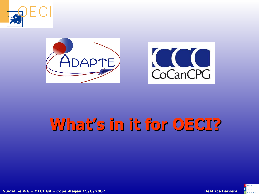





# **What's in it for OECI?**



**Guideline WG – OECI GA – Copenhagen 15/6/2007 Béatrice Fervers 1444 (1990)**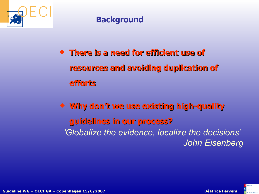

## **Background**

 $\bullet$  **There is a need for efficient use of resources and avoiding duplication of efforts**

 **Why don't we use exist se existing high-quality quality guidelines in our process? rocess?** *'Globalize the evidence, localize the decisions' John Eisenberg*

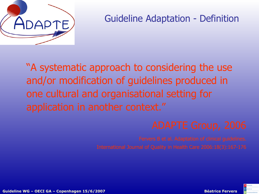

## Guideline Adaptation - Definition

"A systematic approach to considering the use and/or modification of guidelines produced in one cultural and organisational setting for application in another context."

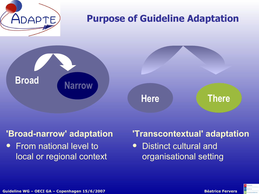

#### **'Broad-narrow' adaptation**

 From national level to local or regional context

## **'Transcontextual' adaptation**

• Distinct cultural and organisational setting

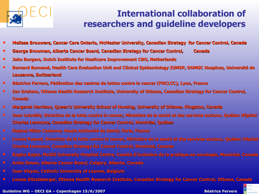

## **International collaboration of researchers and guideline developers**

- **Melissa Brouwers, Cancer Care Ontario, ntario, McMaster University, Canadian Canadian Strategy f Strategy for Cancer Control, ontrol, Canada**
- **George Browman, Alberta Cancer Board, Canadian Strateg ian Strategy for Cancer Control, ontrol, Canada Canada**
- **Jako Burgers, Dutch Institute for Healtcare Improvement CBO, Netherlands**
- **Bernard Burnand, Health Care Evaluation Unit and Clinical Epidemiology IUMSP, DUMSC Hospices, Université de Lausanne, Switzerland**
- **Béatrice Fervers, Fédération des centres de luttes contre le cancer (FNCLCC), Lyon, France**
- **Ian Graham, Ottawa Health Research Institute, University of Ottawa, Canadian Strategy for Cancer Control, Canada**
- **Margaret Harrison, Queen's University School of Nursing, University of Ottawa, Kingston, Canada**
- <sup>\*</sup> Jean Latreille, Direction de la lutte contre le cancer, Ministère de la santé et des services sociaux, Québec Hôpital **Charles Lemoyne, Canadian Strategy for Cancer Control, Montréal, Québec**
- **Najoua Mlika-Cabanne lika-Cabanne, Haute Authorité d Authorité de Santé, e Santé, Paris, France**
- **Louise Paquet, Direction de la lutte contre le cancer, Ministère de la santé et des services sociaux, Québec Hôpital Charles Lemoyne, Canadian Strategy for Cancer Control, Montréal, Canada**
- $\bullet$  **Raghu Rajan, McGill University Hospital Centre, Comité d'évolution de la pratique en oncologie, Montréal, Canada**
- **Anita Simon, Alberta Cancer Board, Calgary, Alberta, Canada**
- **1 Joan Vlayen, Catholic University of Leuven, Belgium**
- **Louise Zitzelsberger, Ottawa Health Res ealth Research I earch Institute, Canadian S adian Strategy for Cancer Co for Cancer Control, Ottawa, Canada**

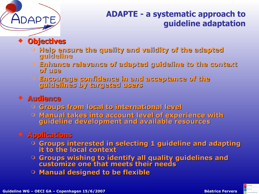## **ADAPTE - a systematic approach to guideline adaptation**

**Objectives**

- **Help ensure the quality and validity of the adapted adapted guideline**
- **Enhance relevance of adapted adapted guideline to the context of use**
- **Encourage confidence in and acceptance of the guidelines by targeted users**

## **Audience**

- **Groups from local to international level**
- **Manual takes into account level of experience with guideline development and available resources**

## **Applications**

- **Groups interested in selecting 1 guideline and adapting it to the local context**
- **Groups wishing to identify all quality guidelines and customize one that meets their needs their needs**
- **Manual designed to be flexible**

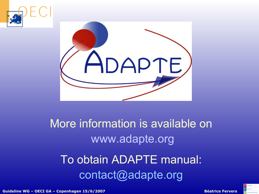



# More information is available on [www.adapte.org](http://www.adapte.org/)

# To obtain ADAPTE manual: contact@adapte.org

**Guideline WG – OECI GA – Copenhagen 15/6/2007 Béatrice Fervers 20**

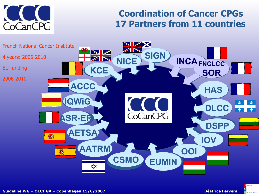

## **Coordination of Cancer CPGs 17 Partners from 11 countries**



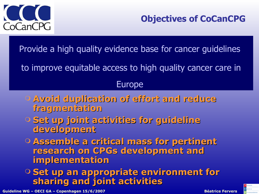

Provide a high quality evidence base for cancer guidelines

to improve equitable access to high quality cancer care in

## Europe

- **Avoid duplication of effort and reduce fragmentation**
- **Set up joint activities for guideline development**
- **Assemble a critical mass for pertinent research on CPGs development and implementation**

**O Set up an appropriate environment for sharing and joint activities**

**Guideline WG – OECI GA – Copenhagen 15/6/2007 Béatrice Fervers 222** 



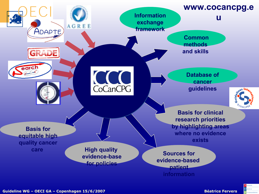

 $\blacksquare$  landards.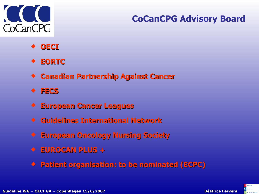

## **CoCanCPG Advisory Board**

- **OECI**
- **EORTC**
- **+ Canadian Partnership Against Cancer**
- **FECS**
- **European Cancer Leagues**
- **Guidelines In Guidelines Internation ernational Network**
- **European Oncology Nursing Society**
- **EUROCAN PLUS +**
- **Patient organisation: to be nominated (ECPC)**